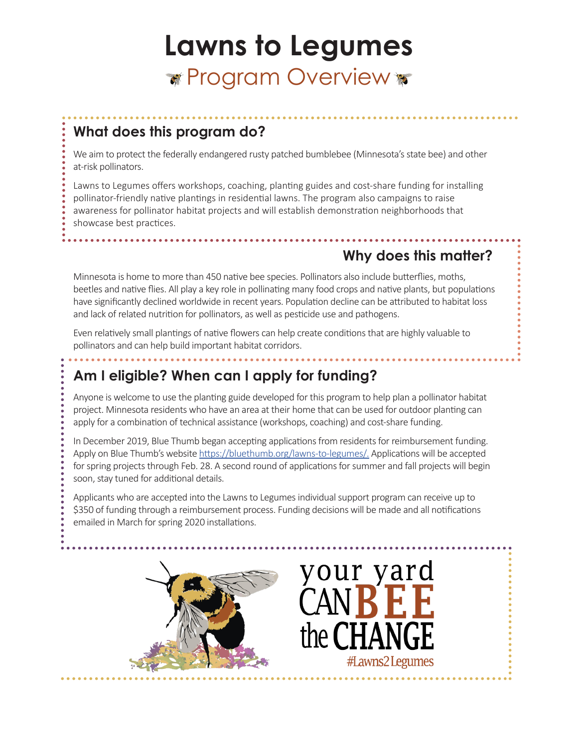# **Lawns to Legumes \*** Program Overview **\***

#### **What does this program do?**

We aim to protect the federally endangered rusty patched bumblebee (Minnesota's state bee) and other at-risk pollinators.

Lawns to Legumes offers workshops, coaching, planting guides and cost-share funding for installing pollinator-friendly native plantings in residential lawns. The program also campaigns to raise awareness for pollinator habitat projects and will establish demonstration neighborhoods that showcase best practices.

### **Why does this matter?**

Minnesota is home to more than 450 native bee species. Pollinators also include butterflies, moths, beetles and native flies. All play a key role in pollinating many food crops and native plants, but populations have significantly declined worldwide in recent years. Population decline can be attributed to habitat loss and lack of related nutrition for pollinators, as well as pesticide use and pathogens.

Even relatively small plantings of native flowers can help create conditions that are highly valuable to pollinators and can help build important habitat corridors.

#### **Am I eligible? When can I apply for funding?**

Anyone is welcome to use the planting guide developed for this program to help plan a pollinator habitat project. Minnesota residents who have an area at their home that can be used for outdoor planting can apply for a combination of technical assistance (workshops, coaching) and cost-share funding.

In December 2019, Blue Thumb began accepting applications from residents for reimbursement funding. Apply on Blue Thumb's website https://bluethumb.org/lawns-to-legumes/. Applications will be accepted for spring projects through Feb. 28. A second round of applications for summer and fall projects will begin soon, stay tuned for additional details.

Applicants who are accepted into the Lawns to Legumes individual support program can receive up to \$350 of funding through a reimbursement process. Funding decisions will be made and all notifications emailed in March for spring 2020 installations.